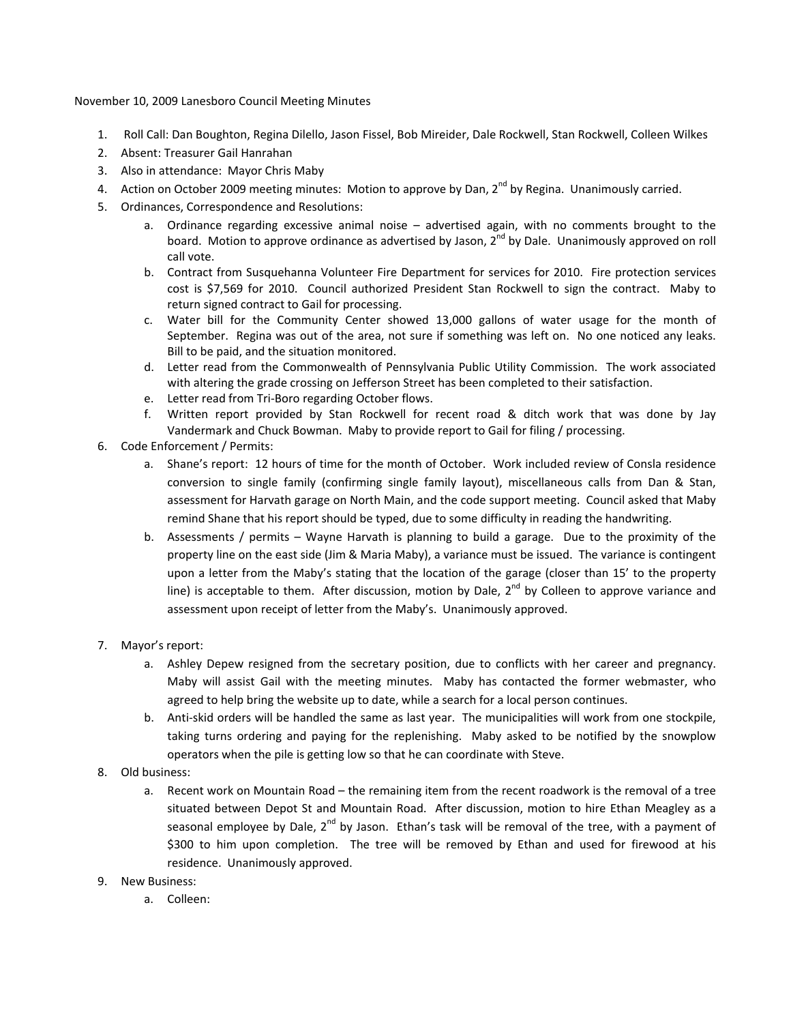November 10, 2009 Lanesboro Council Meeting Minutes

- 1. Roll Call: Dan Boughton, Regina Dilello, Jason Fissel, Bob Mireider, Dale Rockwell, Stan Rockwell, Colleen Wilkes
- 2. Absent: Treasurer Gail Hanrahan
- 3. Also in attendance: Mayor Chris Maby
- 4. Action on October 2009 meeting minutes: Motion to approve by Dan,  $2^{nd}$  by Regina. Unanimously carried.
- 5. Ordinances, Correspondence and Resolutions:
	- a. Ordinance regarding excessive animal noise advertised again, with no comments brought to the board. Motion to approve ordinance as advertised by Jason, 2<sup>nd</sup> by Dale. Unanimously approved on roll call vote.
	- b. Contract from Susquehanna Volunteer Fire Department for services for 2010. Fire protection services cost is \$7,569 for 2010. Council authorized President Stan Rockwell to sign the contract. Maby to return signed contract to Gail for processing.
	- c. Water bill for the Community Center showed 13,000 gallons of water usage for the month of September. Regina was out of the area, not sure if something was left on. No one noticed any leaks. Bill to be paid, and the situation monitored.
	- d. Letter read from the Commonwealth of Pennsylvania Public Utility Commission. The work associated with altering the grade crossing on Jefferson Street has been completed to their satisfaction.
	- e. Letter read from Tri‐Boro regarding October flows.
	- f. Written report provided by Stan Rockwell for recent road & ditch work that was done by Jay Vandermark and Chuck Bowman. Maby to provide report to Gail for filing / processing.
- 6. Code Enforcement / Permits:
	- a. Shane's report: 12 hours of time for the month of October. Work included review of Consla residence conversion to single family (confirming single family layout), miscellaneous calls from Dan & Stan, assessment for Harvath garage on North Main, and the code support meeting. Council asked that Maby remind Shane that his report should be typed, due to some difficulty in reading the handwriting.
	- b. Assessments / permits Wayne Harvath is planning to build a garage. Due to the proximity of the property line on the east side (Jim & Maria Maby), a variance must be issued. The variance is contingent upon a letter from the Maby's stating that the location of the garage (closer than 15' to the property line) is acceptable to them. After discussion, motion by Dale,  $2^{nd}$  by Colleen to approve variance and assessment upon receipt of letter from the Maby's. Unanimously approved.
- 7. Mayor's report:
	- a. Ashley Depew resigned from the secretary position, due to conflicts with her career and pregnancy. Maby will assist Gail with the meeting minutes. Maby has contacted the former webmaster, who agreed to help bring the website up to date, while a search for a local person continues.
	- b. Anti‐skid orders will be handled the same as last year. The municipalities will work from one stockpile, taking turns ordering and paying for the replenishing. Maby asked to be notified by the snowplow operators when the pile is getting low so that he can coordinate with Steve.
- 8. Old business:
	- a. Recent work on Mountain Road the remaining item from the recent roadwork is the removal of a tree situated between Depot St and Mountain Road. After discussion, motion to hire Ethan Meagley as a seasonal employee by Dale,  $2^{nd}$  by Jason. Ethan's task will be removal of the tree, with a payment of \$300 to him upon completion. The tree will be removed by Ethan and used for firewood at his residence. Unanimously approved.
- 9. New Business:
	- a. Colleen: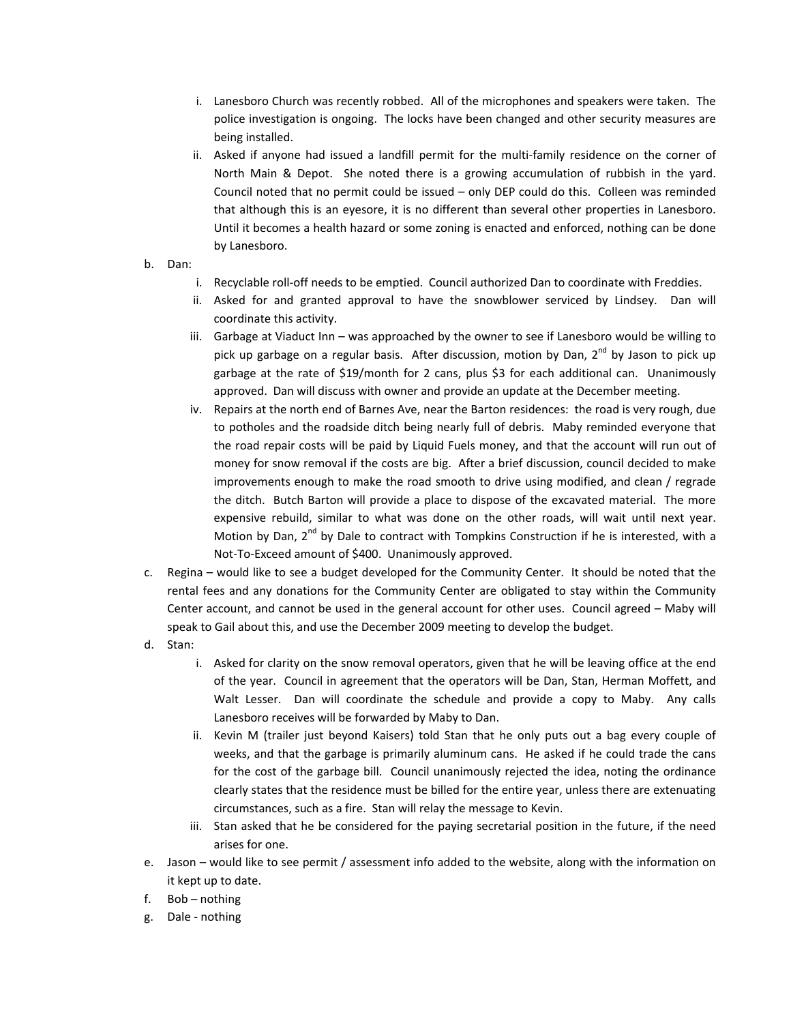- i. Lanesboro Church was recently robbed. All of the microphones and speakers were taken. The police investigation is ongoing. The locks have been changed and other security measures are being installed.
- ii. Asked if anyone had issued a landfill permit for the multi-family residence on the corner of North Main & Depot. She noted there is a growing accumulation of rubbish in the yard. Council noted that no permit could be issued – only DEP could do this. Colleen was reminded that although this is an eyesore, it is no different than several other properties in Lanesboro. Until it becomes a health hazard or some zoning is enacted and enforced, nothing can be done by Lanesboro.
- b. Dan:
	- i. Recyclable roll‐off needs to be emptied. Council authorized Dan to coordinate with Freddies.
	- ii. Asked for and granted approval to have the snowblower serviced by Lindsey. Dan will coordinate this activity.
	- iii. Garbage at Viaduct Inn was approached by the owner to see if Lanesboro would be willing to pick up garbage on a regular basis. After discussion, motion by Dan,  $2^{nd}$  by Jason to pick up garbage at the rate of \$19/month for 2 cans, plus \$3 for each additional can. Unanimously approved. Dan will discuss with owner and provide an update at the December meeting.
	- iv. Repairs at the north end of Barnes Ave, near the Barton residences: the road is very rough, due to potholes and the roadside ditch being nearly full of debris. Maby reminded everyone that the road repair costs will be paid by Liquid Fuels money, and that the account will run out of money for snow removal if the costs are big. After a brief discussion, council decided to make improvements enough to make the road smooth to drive using modified, and clean / regrade the ditch. Butch Barton will provide a place to dispose of the excavated material. The more expensive rebuild, similar to what was done on the other roads, will wait until next year. Motion by Dan,  $2<sup>nd</sup>$  by Dale to contract with Tompkins Construction if he is interested, with a Not‐To‐Exceed amount of \$400. Unanimously approved.
- c. Regina would like to see a budget developed for the Community Center. It should be noted that the rental fees and any donations for the Community Center are obligated to stay within the Community Center account, and cannot be used in the general account for other uses. Council agreed – Maby will speak to Gail about this, and use the December 2009 meeting to develop the budget.
- d. Stan:
	- i. Asked for clarity on the snow removal operators, given that he will be leaving office at the end of the year. Council in agreement that the operators will be Dan, Stan, Herman Moffett, and Walt Lesser. Dan will coordinate the schedule and provide a copy to Maby. Any calls Lanesboro receives will be forwarded by Maby to Dan.
	- ii. Kevin M (trailer just beyond Kaisers) told Stan that he only puts out a bag every couple of weeks, and that the garbage is primarily aluminum cans. He asked if he could trade the cans for the cost of the garbage bill. Council unanimously rejected the idea, noting the ordinance clearly states that the residence must be billed for the entire year, unless there are extenuating circumstances, such as a fire. Stan will relay the message to Kevin.
	- iii. Stan asked that he be considered for the paying secretarial position in the future, if the need arises for one.
- e. Jason would like to see permit / assessment info added to the website, along with the information on it kept up to date.
- f. Bob nothing
- g. Dale ‐ nothing